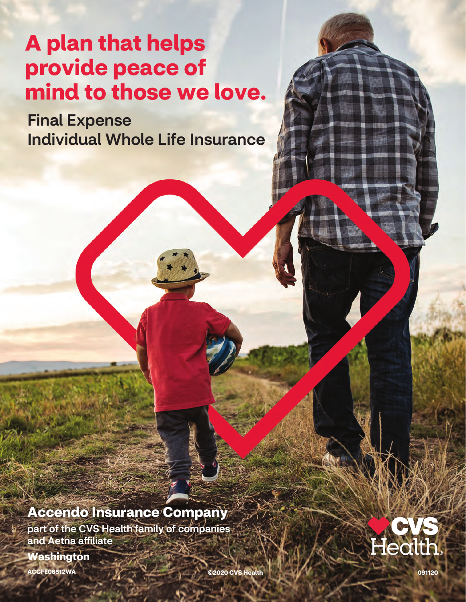# **A plan that helps provide peace of mind to those we love.**

Final Expense Individual Whole Life Insurance

## **Accendo Insurance Company**

part of the CVS Health family of companies and Aetna affiliate

## **Washington**



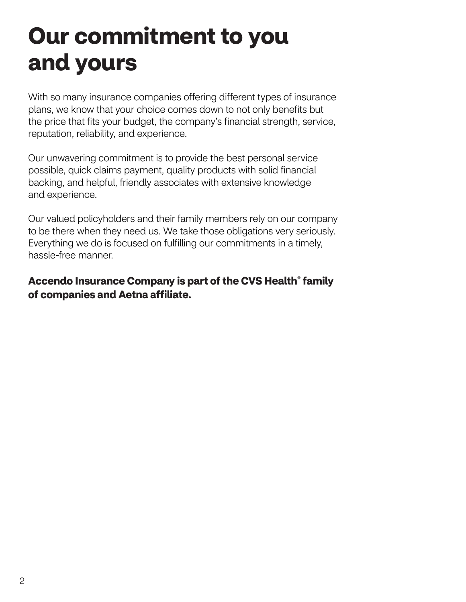# **Our commitment to you and yours**

With so many insurance companies offering different types of insurance plans, we know that your choice comes down to not only benefits but the price that fits your budget, the company's financial strength, service, reputation, reliability, and experience.

Our unwavering commitment is to provide the best personal service possible, quick claims payment, quality products with solid financial backing, and helpful, friendly associates with extensive knowledge and experience.

Our valued policyholders and their family members rely on our company to be there when they need us. We take those obligations very seriously. Everything we do is focused on fulfilling our commitments in a timely, hassle-free manner.

## **Accendo Insurance Company is part of the CVS Health® family of companies and Aetna affiliate.**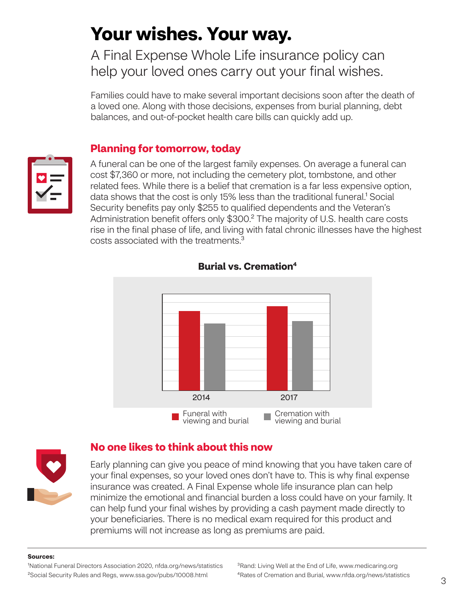## **Your wishes. Your way.**

A Final Expense Whole Life insurance policy can help your loved ones carry out your final wishes.

Families could have to make several important decisions soon after the death of a loved one. Along with those decisions, expenses from burial planning, debt balances, and out-of-pocket health care bills can quickly add up.

### **Planning for tomorrow, today**

A funeral can be one of the largest family expenses. On average a funeral can cost \$7,360 or more, not including the cemetery plot, tombstone, and other related fees. While there is a belief that cremation is a far less expensive option, data shows that the cost is only 15% less than the traditional funeral.<sup>1</sup> Social Security benefits pay only \$255 to qualified dependents and the Veteran's Administration benefit offers only \$300.² The majority of U.S. health care costs rise in the final phase of life, and living with fatal chronic illnesses have the highest costs associated with the treatments.<sup>3</sup>



### **Burial vs. Cremation4**



### **No one likes to think about this now**

Early planning can give you peace of mind knowing that you have taken care of your final expenses, so your loved ones don't have to. This is why final expense insurance was created. A Final Expense whole life insurance plan can help minimize the emotional and financial burden a loss could have on your family. It can help fund your final wishes by providing a cash payment made directly to your beneficiaries. There is no medical exam required for this product and premiums will not increase as long as premiums are paid.

#### **Sources:**

<sup>1</sup>National Funeral Directors Association 2020, nfda.org/news/statistics ²Social Security Rules and Regs[, www.ssa.gov/pubs/10008.html](http://www.ssa.gov/pubs/10008.html) 

<sup>3</sup>Rand: Living Well at the End of Life, www.medicaring.org ⁴Rates of Cremation and Burial, [www.nfda.org/news/statistics](http://www.nfda.org/news/statistics)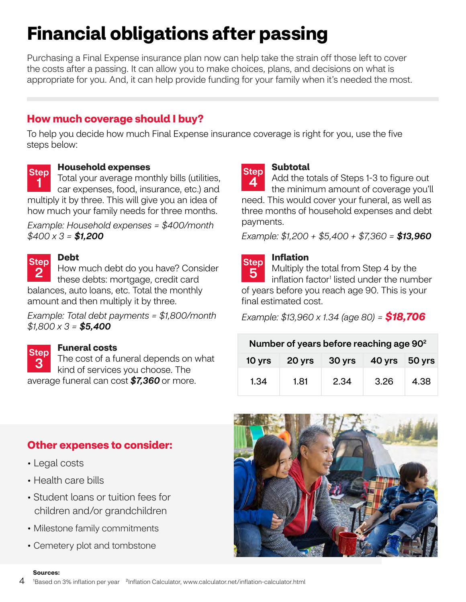## **Financial obligations after passing**

Purchasing a Final Expense insurance plan now can help take the strain off those left to cover the costs after a passing. It can allow you to make choices, plans, and decisions on what is appropriate for you. And, it can help provide funding for your family when it's needed the most.

## **How much coverage should I buy?**

To help you decide how much Final Expense insurance coverage is right for you, use the five steps below:



#### **Household expenses**

1 Total your average monthly bills (utilities, car expenses, food, insurance, etc.) and multiply it by three. This will give you an idea of how much your family needs for three months.

*Example: Household expenses = \$400/month \$400 x 3 = \$1,200*

### **Debt**

**Step**  $2<sup>1</sup>$ How much debt do you have? Consider these debts: mortgage, credit card balances, auto loans, etc. Total the monthly

amount and then multiply it by three.

*Example: Total debt payments = \$1,800/month \$1,800 x 3 = \$5,400*



### **Funeral costs**

The cost of a funeral depends on what kind of services you choose. The average funeral can cost *\$7,360* or more.



### **Subtotal**

4 Add the totals of Steps 1-3 to figure out the minimum amount of coverage you'll need. This would cover your funeral, as well as three months of household expenses and debt payments.

*Example: \$1,200 + \$5,400 + \$7,360 = \$13,960*

### **Inflation**

**Step** 5 Multiply the total from Step 4 by the inflation factor<sup>1</sup> listed under the number of years before you reach age 90. This is your final estimated cost.

*Example: \$13,960 x 1.34 (age 80) = \$18,706* 

### Number of years before reaching age 902

|      |      | 10 yrs 20 yrs 30 yrs 40 yrs 50 yrs |      |      |
|------|------|------------------------------------|------|------|
| 1.34 | 1.81 | 2.34                               | 3.26 | 4.38 |

## **Other expenses to consider:**

- Legal costs
- . Health care bills
- Student loans or tuition fees for children and/or grandchildren
- Milestone family commitments
- Cemetery plot and tombstone



#### **Sources:**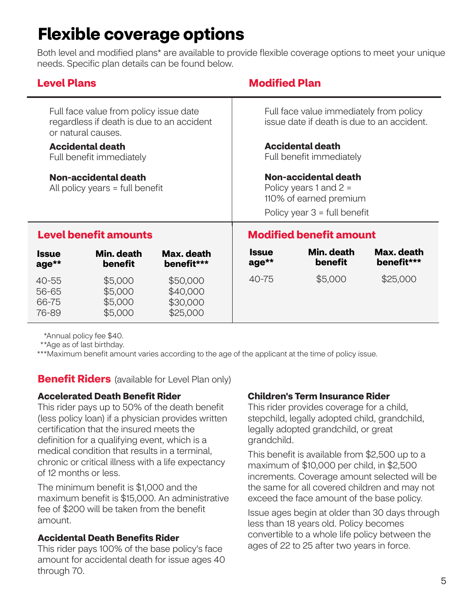## **Flexible coverage options**

Both level and modified plans\* are available to provide flexible coverage options to meet your unique needs. Specific plan details can be found below.

| <b>Level Plans</b>                                        |                                                                                                           |                                              | <b>Modified Plan</b>                                                                                         |                       |                          |  |
|-----------------------------------------------------------|-----------------------------------------------------------------------------------------------------------|----------------------------------------------|--------------------------------------------------------------------------------------------------------------|-----------------------|--------------------------|--|
|                                                           | Full face value from policy issue date<br>regardless if death is due to an accident<br>or natural causes. |                                              | Full face value immediately from policy<br>issue date if death is due to an accident.                        |                       |                          |  |
| <b>Accidental death</b><br>Full benefit immediately       |                                                                                                           |                                              | <b>Accidental death</b><br>Full benefit immediately                                                          |                       |                          |  |
| Non-accidental death<br>All policy years $=$ full benefit |                                                                                                           |                                              | Non-accidental death<br>Policy years 1 and $2 =$<br>110% of earned premium<br>Policy year $3 =$ full benefit |                       |                          |  |
| <b>Level benefit amounts</b>                              |                                                                                                           |                                              | <b>Modified benefit amount</b>                                                                               |                       |                          |  |
| <b>Issue</b><br>$age**$                                   | Min. death<br>benefit                                                                                     | Max. death<br>benefit***                     | <b>Issue</b><br>age**                                                                                        | Min. death<br>benefit | Max. death<br>benefit*** |  |
| $40 - 55$<br>56-65<br>66-75<br>76-89                      | \$5,000<br>\$5,000<br>\$5,000<br>\$5,000                                                                  | \$50,000<br>\$40,000<br>\$30,000<br>\$25,000 | 40-75                                                                                                        | \$5,000               | \$25,000                 |  |

\*Annual policy fee \$40.

\*\*Age as of last birthday.

\*\*\*Maximum benefit amount varies according to the age of the applicant at the time of policy issue.

**Benefit Riders** (available for Level Plan only)

#### **Accelerated Death Benefit Rider**

This rider pays up to 50% of the death benefit (less policy loan) if a physician provides written certification that the insured meets the definition for a qualifying event, which is a medical condition that results in a terminal, chronic or critical illness with a life expectancy of 12 months or less.

The minimum benefit is \$1,000 and the maximum benefit is \$15,000. An administrative fee of \$200 will be taken from the benefit amount.

### **Accidental Death Benefits Rider**

This rider pays 100% of the base policy's face amount for accidental death for issue ages 40 through 70.

### **Children's Term Insurance Rider**

This rider provides coverage for a child, stepchild, legally adopted child, grandchild, legally adopted grandchild, or great grandchild.

This benefit is available from \$2,500 up to a maximum of \$10,000 per child, in \$2,500 increments. Coverage amount selected will be the same for all covered children and may not exceed the face amount of the base policy.

Issue ages begin at older than 30 days through less than 18 years old. Policy becomes convertible to a whole life policy between the ages of 22 to 25 after two years in force.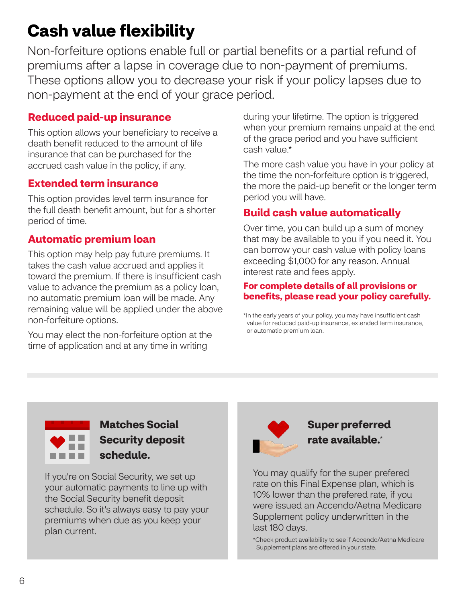## **Cash value flexibility**

Non-forfeiture options enable full or partial benefits or a partial refund of premiums after a lapse in coverage due to non-payment of premiums. These options allow you to decrease your risk if your policy lapses due to non-payment at the end of your grace period.

## **Reduced paid-up insurance**

This option allows your beneficiary to receive a death benefit reduced to the amount of life insurance that can be purchased for the accrued cash value in the policy, if any.

## **Extended term insurance**

This option provides level term insurance for the full death benefit amount, but for a shorter period of time.

## **Automatic premium loan**

This option may help pay future premiums. It takes the cash value accrued and applies it toward the premium. If there is insufficient cash value to advance the premium as a policy loan, no automatic premium loan will be made. Any remaining value will be applied under the above non-forfeiture options.

You may elect the non-forfeiture option at the time of application and at any time in writing

during your lifetime. The option is triggered when your premium remains unpaid at the end of the grace period and you have sufficient cash value.\*

The more cash value you have in your policy at the time the non-forfeiture option is triggered, the more the paid-up benefit or the longer term period you will have.

## **Build cash value automatically**

Over time, you can build up a sum of money that may be available to you if you need it. You can borrow your cash value with policy loans exceeding \$1,000 for any reason. Annual interest rate and fees apply.

### **For complete details of all provisions or benefits, please read your policy carefully.**

\*In the early years of your policy, you may have insufficient cash value for reduced paid-up insurance, extended term insurance, or automatic premium loan.



## **Matches Social Security deposit schedule.**

If you're on Social Security, we set up your automatic payments to line up with the Social Security benefit deposit schedule. So it's always easy to pay your premiums when due as you keep your plan current.



## **Super preferred rate available.**\*

You may qualify for the super prefered rate on this Final Expense plan, which is 10% lower than the prefered rate, if you were issued an Accendo/Aetna Medicare Supplement policy underwritten in the last 180 days.

\*Check product availability to see if Accendo/Aetna Medicare Supplement plans are offered in your state.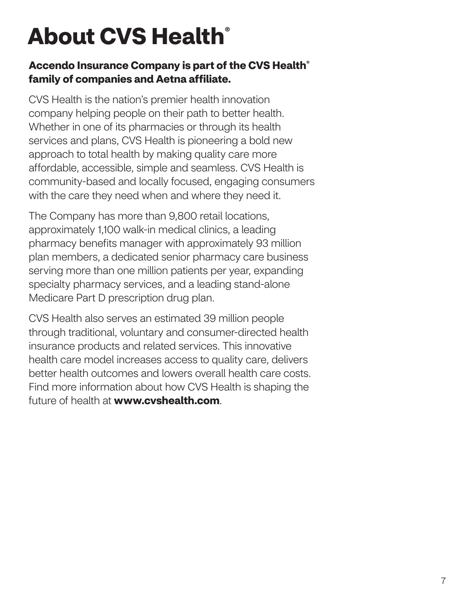# **About CVS Health®**

## **Accendo Insurance Company is part of the CVS Health® family of companies and Aetna affiliate.**

CVS Health is the nation's premier health innovation company helping people on their path to better health. Whether in one of its pharmacies or through its health services and plans, CVS Health is pioneering a bold new approach to total health by making quality care more affordable, accessible, simple and seamless. CVS Health is community-based and locally focused, engaging consumers with the care they need when and where they need it.

The Company has more than 9,800 retail locations, approximately 1,100 walk-in medical clinics, a leading pharmacy benefits manager with approximately 93 million plan members, a dedicated senior pharmacy care business serving more than one million patients per year, expanding specialty pharmacy services, and a leading stand-alone Medicare Part D prescription drug plan.

CVS Health also serves an estimated 39 million people through traditional, voluntary and consumer-directed health insurance products and related services. This innovative health care model increases access to quality care, delivers better health outcomes and lowers overall health care costs. Find more information about how CVS Health is shaping the future of health at **www.cvshealth.com**.